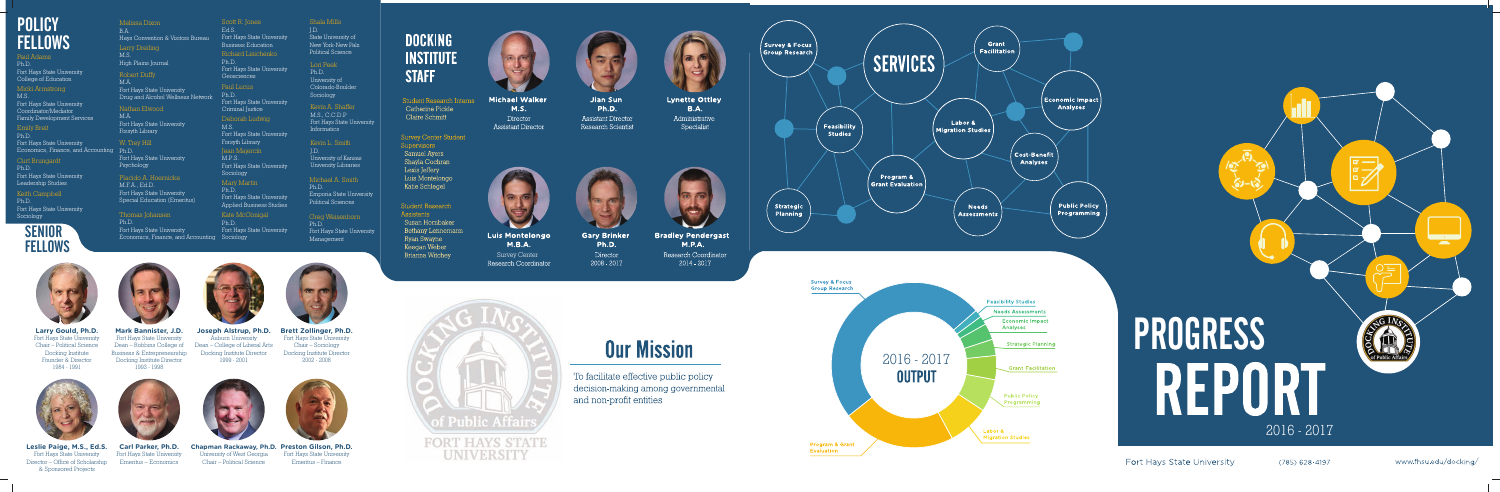

(785) 628-4197



www.fhsu.edu/docking/

**Program & Grant** Evaluation



**Larry Gould, Ph.D.** Fort Hays State University Chair – Political Science Docking Institute Founder & Director 1984 - 1991



**Leslie Paige, M.S., Ed.S.** Fort Hays State University Director – Office of Scholarship & Sponsored Projects



**Mark Bannister, J.D.** Fort Hays State University Business & Entrepreneurship Docking Institute Director



**Carl Parker, Ph.D.** Fort Hays State University Emeritus – Economics



# **POLICY FELLOWS**

#### Paul Adams Ph.D. Fort Hays State University Fort Hays State University<br>College of Education<br>M M M

M.A. Fort Hays State University Drug and Alcohol Wellness Network



**Chapman Rackaway, Ph.D. Preston Gilson, Ph.D.** University of West Georgia Chair – Political Science

Dean – Robbins College of Dean – College of Liberal Arts **Joseph Alstrup, Ph.D.** Auburn University Docking Institute Director 1999 - 2001



Fort Hays State University Emeritus – Finance





Labor &

**Migration Studies** 

**Fort Hays State University** 

# W. Trey Hill Forsyth Library Fort Hays State University Psychology



**Brett Zollinger, Ph.D.** Fort Hays State University Chair – Sociology Docking Institute Director 2002 - 2008

M.S., C.C.D.P Fort Hays State University Informatics

# Kevin L. Smith

J.D. University of Kansas University Libraries

# Michael A. Smith

Ph.D. Emporia State University Political Sciences

Greg Weisenborn Ph.D. Fort Hays State University Management



**Student Research Interns** Catherine Pickle Claire Schmitt

**Survey Center Student** Supervisors **Samuel Ayers** Shayla Cochran Lexis Jeffery Luis Montelongo Katie Schlegel

**Student Research** Assistants Susan Hornbaker Bethany Lennemann Ryan Swayne Keegan Weber Brianna Witchey



**Michael Walker**  $M.S.$ Director **Assistant Director** 

Ph.D.



**Luis Montelongo**  $M.B.A.$ Survey CenterResearch Coordinator

Placido A. Hoernicke M.F.A., Ed.D. Fort Hays State University Special Education (Emeritus)

Paul Lucus Ph.D. Fort Hays State University Criminal Justice Kevin A. Shaffer Deborah Ludwig M.S. Fort Hays State University Scott R. Jones Ed.S. Fort Hays State University Business Education Richard Lisichenko Ph.D. Fort Hays State University Geosciences Jean Majercin M.P.S . Fort Hays State University Sociology Mary Martin

Micki Armstrong M.S.

Fort Hays State University Coordinator/Mediator Family Development Services

Economics, Finance, and Accounting Ph.D. Emily Breit Ph.D. Fort Hays State University

> Thomas Johansen Ph.D. Fort Hays State University Economics, Finance, and Accounting Sociology

Keith Campbell Ph.D. Fort Hays State University Sociology

# **SENIOR FELLOWS**

Ph.D. Fort Hays State University Applied Business Studies

Kate McGonigal Ph.D. Fort Hays State University

Melissa Dixon B.A. Hays Convention & Visitors Bureau Larry Dreiling M.S. High Plains Journal

Shala Mills J.D. State University of New York-New Palz

# Political Science

Lori Peek Ph.D. University of Colorado-Boulder Sociology

Nathan Elwood M.A. Fort Hays State University Forsyth Library

#### Curt Brungardt

Ph.D. Fort Hays State University Leadership Studies